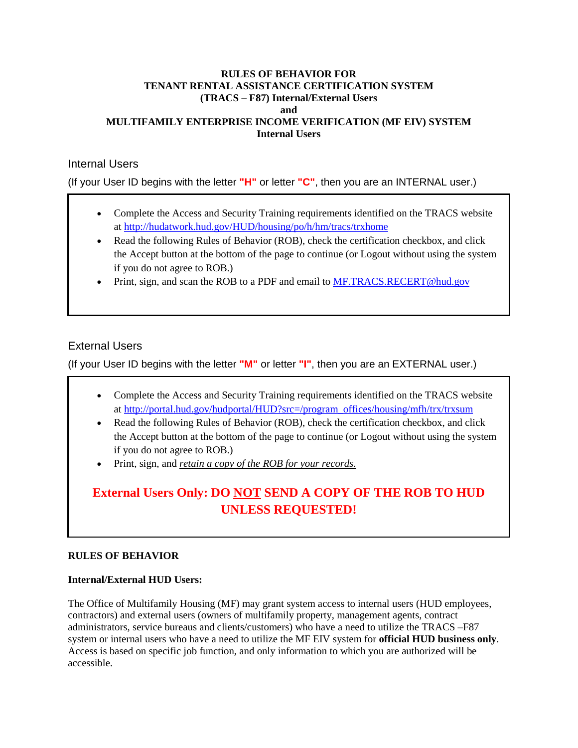#### **RULES OF BEHAVIOR FOR TENANT RENTAL ASSISTANCE CERTIFICATION SYSTEM (TRACS – F87) Internal/External Users and MULTIFAMILY ENTERPRISE INCOME VERIFICATION (MF EIV) SYSTEM Internal Users**

## Internal Users

(If your User ID begins with the letter **"H"** or letter **"C"**, then you are an INTERNAL user.)

- Complete the Access and Security Training requirements identified on the TRACS website at http://hudatwork.hud.gov/HUD/housing/po/h/hm/tracs/trxhome
- Read the following Rules of Behavior (ROB), check the certification checkbox, and click the Accept button at the bottom of the page to continue (or Logout without using the system if you do not agree to ROB.)
- Print, sign, and scan the ROB to a PDF and email to MF.TRACS.RECERT@hud.gov

## External Users

(If your User ID begins with the letter **"M"** or letter **"I"**, then you are an EXTERNAL user.)

- Complete the Access and Security Training requirements identified on the TRACS website at http://portal.hud.gov/hudportal/HUD?src=/program\_offices/housing/mfh/trx/trxsum
- Read the following Rules of Behavior (ROB), check the certification checkbox, and click the Accept button at the bottom of the page to continue (or Logout without using the system if you do not agree to ROB.)
- Print, sign, and *retain a copy of the ROB for your records.*

# **External Users Only: DO NOT SEND A COPY OF THE ROB TO HUD UNLESS REQUESTED!**

## **RULES OF BEHAVIOR**

## **Internal/External HUD Users:**

The Office of Multifamily Housing (MF) may grant system access to internal users (HUD employees, contractors) and external users (owners of multifamily property, management agents, contract administrators, service bureaus and clients/customers) who have a need to utilize the TRACS –F87 system or internal users who have a need to utilize the MF EIV system for **official HUD business only**. Access is based on specific job function, and only information to which you are authorized will be accessible.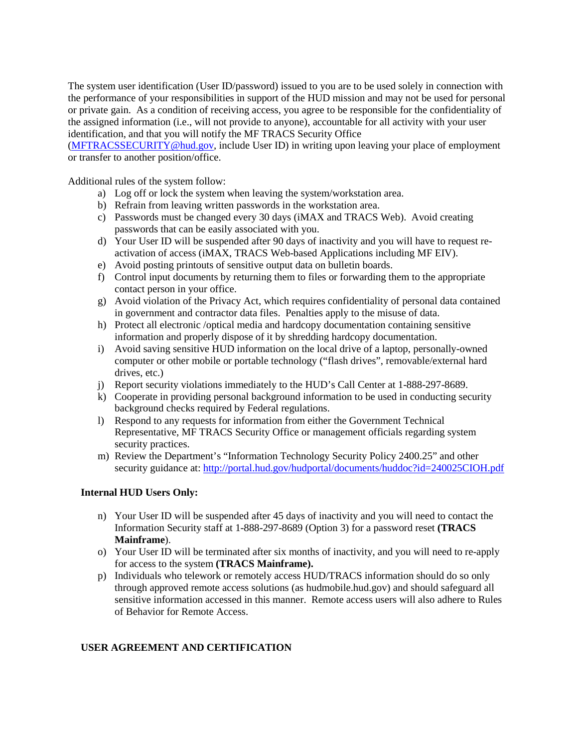The system user identification (User ID/password) issued to you are to be used solely in connection with the performance of your responsibilities in support of the HUD mission and may not be used for personal or private gain. As a condition of receiving access, you agree to be responsible for the confidentiality of the assigned information (i.e., will not provide to anyone), accountable for all activity with your user identification, and that you will notify the MF TRACS Security Office

(MFTRACSSECURITY@hud.gov, include User ID) in writing upon leaving your place of employment or transfer to another position/office.

Additional rules of the system follow:

- a) Log off or lock the system when leaving the system/workstation area.
- b) Refrain from leaving written passwords in the workstation area.
- c) Passwords must be changed every 30 days (iMAX and TRACS Web). Avoid creating passwords that can be easily associated with you.
- d) Your User ID will be suspended after 90 days of inactivity and you will have to request reactivation of access (iMAX, TRACS Web-based Applications including MF EIV).
- e) Avoid posting printouts of sensitive output data on bulletin boards.
- f) Control input documents by returning them to files or forwarding them to the appropriate contact person in your office.
- g) Avoid violation of the Privacy Act, which requires confidentiality of personal data contained in government and contractor data files. Penalties apply to the misuse of data.
- h) Protect all electronic /optical media and hardcopy documentation containing sensitive information and properly dispose of it by shredding hardcopy documentation.
- i) Avoid saving sensitive HUD information on the local drive of a laptop, personally-owned computer or other mobile or portable technology ("flash drives", removable/external hard drives, etc.)
- j) Report security violations immediately to the HUD's Call Center at 1-888-297-8689.
- k) Cooperate in providing personal background information to be used in conducting security background checks required by Federal regulations.
- l) Respond to any requests for information from either the Government Technical Representative, MF TRACS Security Office or management officials regarding system security practices.
- m) Review the Department's "Information Technology Security Policy 2400.25" and other security guidance at: http://portal.hud.gov/hudportal/documents/huddoc?id=240025CIOH.pdf

#### **Internal HUD Users Only:**

- n) Your User ID will be suspended after 45 days of inactivity and you will need to contact the Information Security staff at 1-888-297-8689 (Option 3) for a password reset **(TRACS Mainframe**).
- o) Your User ID will be terminated after six months of inactivity, and you will need to re-apply for access to the system **(TRACS Mainframe).**
- p) Individuals who telework or remotely access HUD/TRACS information should do so only through approved remote access solutions (as hudmobile.hud.gov) and should safeguard all sensitive information accessed in this manner. Remote access users will also adhere to Rules of Behavior for Remote Access.

#### **USER AGREEMENT AND CERTIFICATION**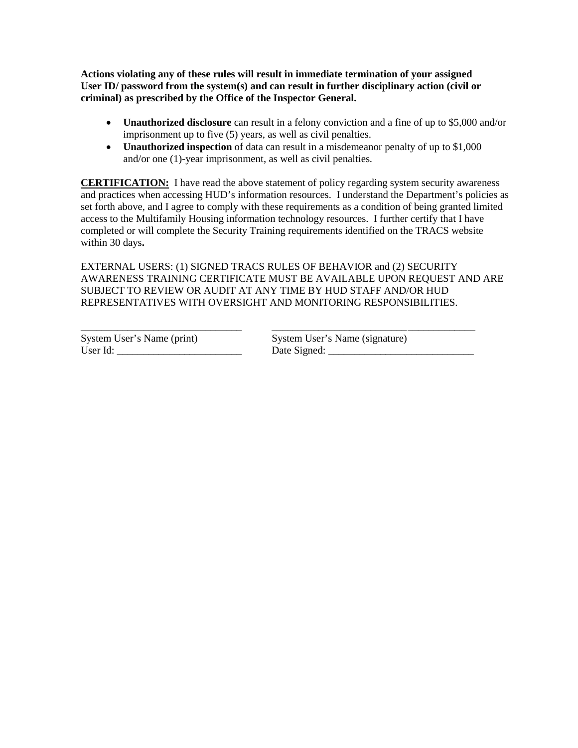**Actions violating any of these rules will result in immediate termination of your assigned User ID/ password from the system(s) and can result in further disciplinary action (civil or criminal) as prescribed by the Office of the Inspector General.** 

- **Unauthorized disclosure** can result in a felony conviction and a fine of up to \$5,000 and/or imprisonment up to five (5) years, as well as civil penalties.
- **Unauthorized inspection** of data can result in a misdemeanor penalty of up to \$1,000 and/or one (1)-year imprisonment, as well as civil penalties*.*

**CERTIFICATION:** I have read the above statement of policy regarding system security awareness and practices when accessing HUD's information resources. I understand the Department's policies as set forth above, and I agree to comply with these requirements as a condition of being granted limited access to the Multifamily Housing information technology resources. I further certify that I have completed or will complete the Security Training requirements identified on the TRACS website within 30 days**.**

EXTERNAL USERS: (1) SIGNED TRACS RULES OF BEHAVIOR and (2) SECURITY AWARENESS TRAINING CERTIFICATE MUST BE AVAILABLE UPON REQUEST AND ARE SUBJECT TO REVIEW OR AUDIT AT ANY TIME BY HUD STAFF AND/OR HUD REPRESENTATIVES WITH OVERSIGHT AND MONITORING RESPONSIBILITIES.

\_\_\_\_\_\_\_\_\_\_\_\_\_\_\_\_\_\_\_\_\_\_\_\_\_\_\_\_\_\_\_ \_\_\_\_\_\_\_\_\_\_\_\_\_\_\_\_\_\_\_\_\_\_\_\_\_\_ \_\_\_\_\_\_\_\_\_\_\_\_\_ System User's Name (print) System User's Name (signature) User Id: \_\_\_\_\_\_\_\_\_\_\_\_\_\_\_\_\_\_\_\_\_\_\_\_ Date Signed: \_\_\_\_\_\_\_\_\_\_\_\_\_\_\_\_\_\_\_\_\_\_\_\_\_\_\_\_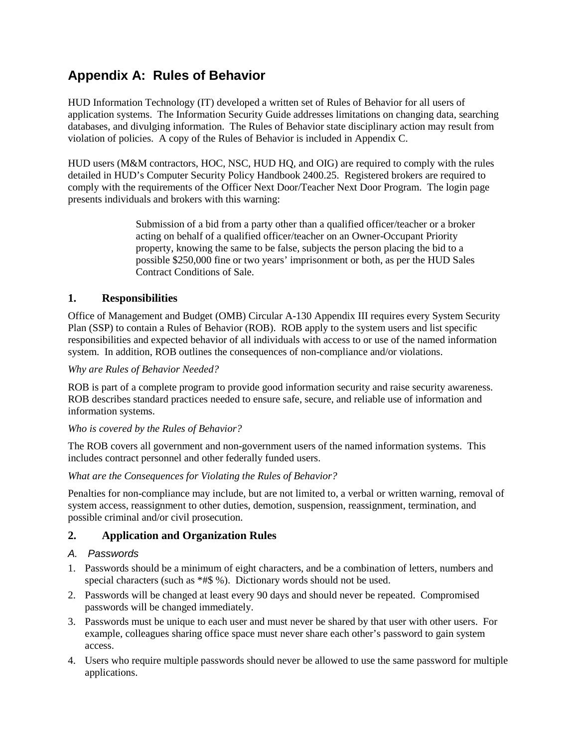# **Appendix A: Rules of Behavior**

HUD Information Technology (IT) developed a written set of Rules of Behavior for all users of application systems. The Information Security Guide addresses limitations on changing data, searching databases, and divulging information. The Rules of Behavior state disciplinary action may result from violation of policies. A copy of the Rules of Behavior is included in Appendix C.

HUD users (M&M contractors, HOC, NSC, HUD HQ, and OIG) are required to comply with the rules detailed in HUD's Computer Security Policy Handbook 2400.25. Registered brokers are required to comply with the requirements of the Officer Next Door/Teacher Next Door Program. The login page presents individuals and brokers with this warning:

> Submission of a bid from a party other than a qualified officer/teacher or a broker acting on behalf of a qualified officer/teacher on an Owner-Occupant Priority property, knowing the same to be false, subjects the person placing the bid to a possible \$250,000 fine or two years' imprisonment or both, as per the HUD Sales Contract Conditions of Sale.

## **1. Responsibilities**

Office of Management and Budget (OMB) Circular A-130 Appendix III requires every System Security Plan (SSP) to contain a Rules of Behavior (ROB). ROB apply to the system users and list specific responsibilities and expected behavior of all individuals with access to or use of the named information system. In addition, ROB outlines the consequences of non-compliance and/or violations.

## *Why are Rules of Behavior Needed?*

ROB is part of a complete program to provide good information security and raise security awareness. ROB describes standard practices needed to ensure safe, secure, and reliable use of information and information systems.

#### *Who is covered by the Rules of Behavior?*

The ROB covers all government and non-government users of the named information systems. This includes contract personnel and other federally funded users.

#### *What are the Consequences for Violating the Rules of Behavior?*

Penalties for non-compliance may include, but are not limited to, a verbal or written warning, removal of system access, reassignment to other duties, demotion, suspension, reassignment, termination, and possible criminal and/or civil prosecution.

## **2. Application and Organization Rules**

## *A. Passwords*

- 1. Passwords should be a minimum of eight characters, and be a combination of letters, numbers and special characters (such as  $*#$ \$ %). Dictionary words should not be used.
- 2. Passwords will be changed at least every 90 days and should never be repeated. Compromised passwords will be changed immediately.
- 3. Passwords must be unique to each user and must never be shared by that user with other users. For example, colleagues sharing office space must never share each other's password to gain system access.
- 4. Users who require multiple passwords should never be allowed to use the same password for multiple applications.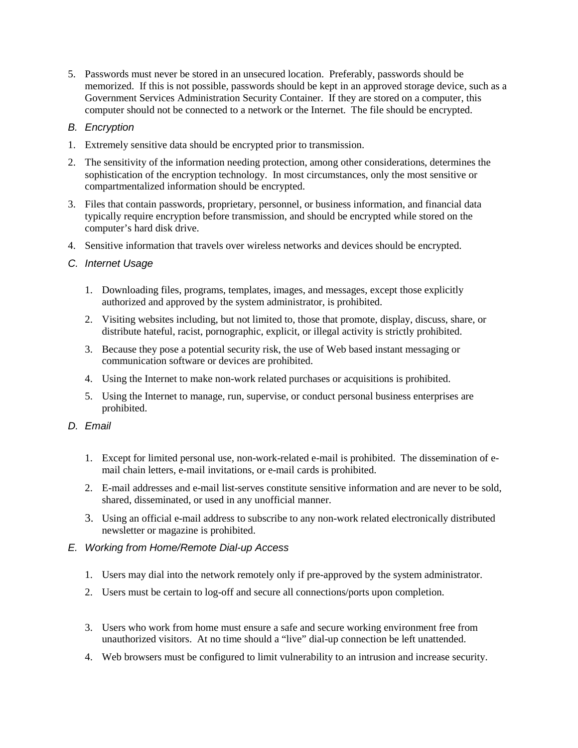5. Passwords must never be stored in an unsecured location. Preferably, passwords should be memorized. If this is not possible, passwords should be kept in an approved storage device, such as a Government Services Administration Security Container. If they are stored on a computer, this computer should not be connected to a network or the Internet. The file should be encrypted.

## *B. Encryption*

- 1. Extremely sensitive data should be encrypted prior to transmission.
- 2. The sensitivity of the information needing protection, among other considerations, determines the sophistication of the encryption technology. In most circumstances, only the most sensitive or compartmentalized information should be encrypted.
- 3. Files that contain passwords, proprietary, personnel, or business information, and financial data typically require encryption before transmission, and should be encrypted while stored on the computer's hard disk drive.
- 4. Sensitive information that travels over wireless networks and devices should be encrypted.
- *C. Internet Usage* 
	- 1. Downloading files, programs, templates, images, and messages, except those explicitly authorized and approved by the system administrator, is prohibited.
	- 2. Visiting websites including, but not limited to, those that promote, display, discuss, share, or distribute hateful, racist, pornographic, explicit, or illegal activity is strictly prohibited.
	- 3. Because they pose a potential security risk, the use of Web based instant messaging or communication software or devices are prohibited.
	- 4. Using the Internet to make non-work related purchases or acquisitions is prohibited.
	- 5. Using the Internet to manage, run, supervise, or conduct personal business enterprises are prohibited.

## *D. Email*

- 1. Except for limited personal use, non-work-related e-mail is prohibited. The dissemination of email chain letters, e-mail invitations, or e-mail cards is prohibited.
- 2. E-mail addresses and e-mail list-serves constitute sensitive information and are never to be sold, shared, disseminated, or used in any unofficial manner.
- 3. Using an official e-mail address to subscribe to any non-work related electronically distributed newsletter or magazine is prohibited.

## *E. Working from Home/Remote Dial-up Access*

- 1. Users may dial into the network remotely only if pre-approved by the system administrator.
- 2. Users must be certain to log-off and secure all connections/ports upon completion.
- 3. Users who work from home must ensure a safe and secure working environment free from unauthorized visitors. At no time should a "live" dial-up connection be left unattended.
- 4. Web browsers must be configured to limit vulnerability to an intrusion and increase security.